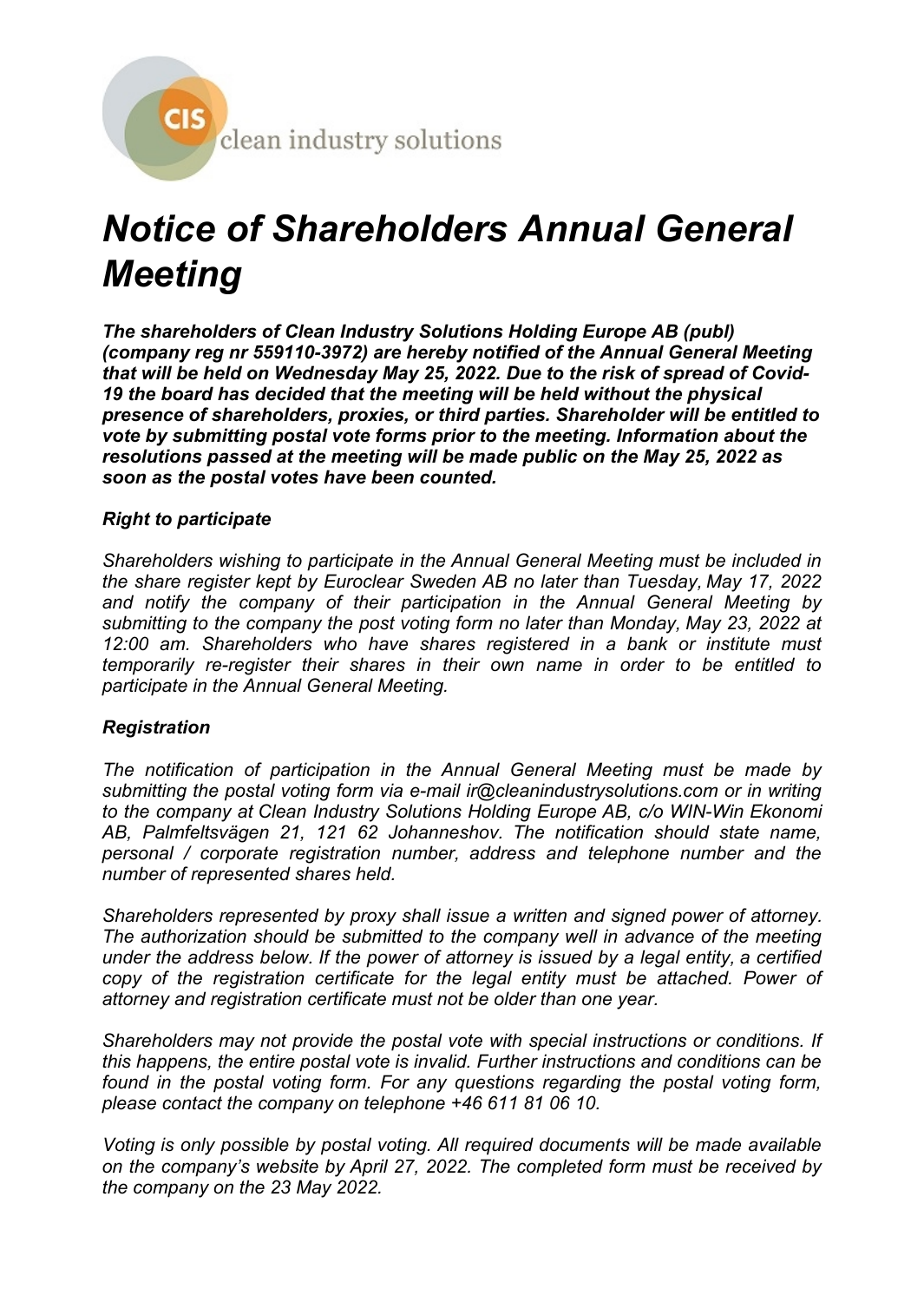

# *Notice of Shareholders Annual General Meeting*

*The shareholders of Clean Industry Solutions Holding Europe AB (publ) (company reg nr 559110-3972) are hereby notified of the Annual General Meeting that will be held on Wednesday May 25, 2022. Due to the risk of spread of Covid-19 the board has decided that the meeting will be held without the physical presence of shareholders, proxies, or third parties. Shareholder will be entitled to vote by submitting postal vote forms prior to the meeting. Information about the resolutions passed at the meeting will be made public on the May 25, 2022 as soon as the postal votes have been counted.*

# *Right to participate*

*Shareholders wishing to participate in the Annual General Meeting must be included in the share register kept by Euroclear Sweden AB no later than Tuesday, May 17, 2022 and notify the company of their participation in the Annual General Meeting by submitting to the company the post voting form no later than Monday, May 23, 2022 at 12:00 am. Shareholders who have shares registered in a bank or institute must temporarily re-register their shares in their own name in order to be entitled to participate in the Annual General Meeting.*

## *Registration*

*The notification of participation in the Annual General Meeting must be made by submitting the postal voting form via e-mail ir@cleanindustrysolutions.com or in writing to the company at Clean Industry Solutions Holding Europe AB, c/o WIN-Win Ekonomi AB, Palmfeltsvägen 21, 121 62 Johanneshov. The notification should state name, personal / corporate registration number, address and telephone number and the number of represented shares held.*

*Shareholders represented by proxy shall issue a written and signed power of attorney. The authorization should be submitted to the company well in advance of the meeting under the address below. If the power of attorney is issued by a legal entity, a certified copy of the registration certificate for the legal entity must be attached. Power of attorney and registration certificate must not be older than one year.*

*Shareholders may not provide the postal vote with special instructions or conditions. If this happens, the entire postal vote is invalid. Further instructions and conditions can be found in the postal voting form. For any questions regarding the postal voting form, please contact the company on telephone +46 611 81 06 10.*

*Voting is only possible by postal voting. All required documents will be made available on the company's website by April 27, 2022. The completed form must be received by the company on the 23 May 2022.*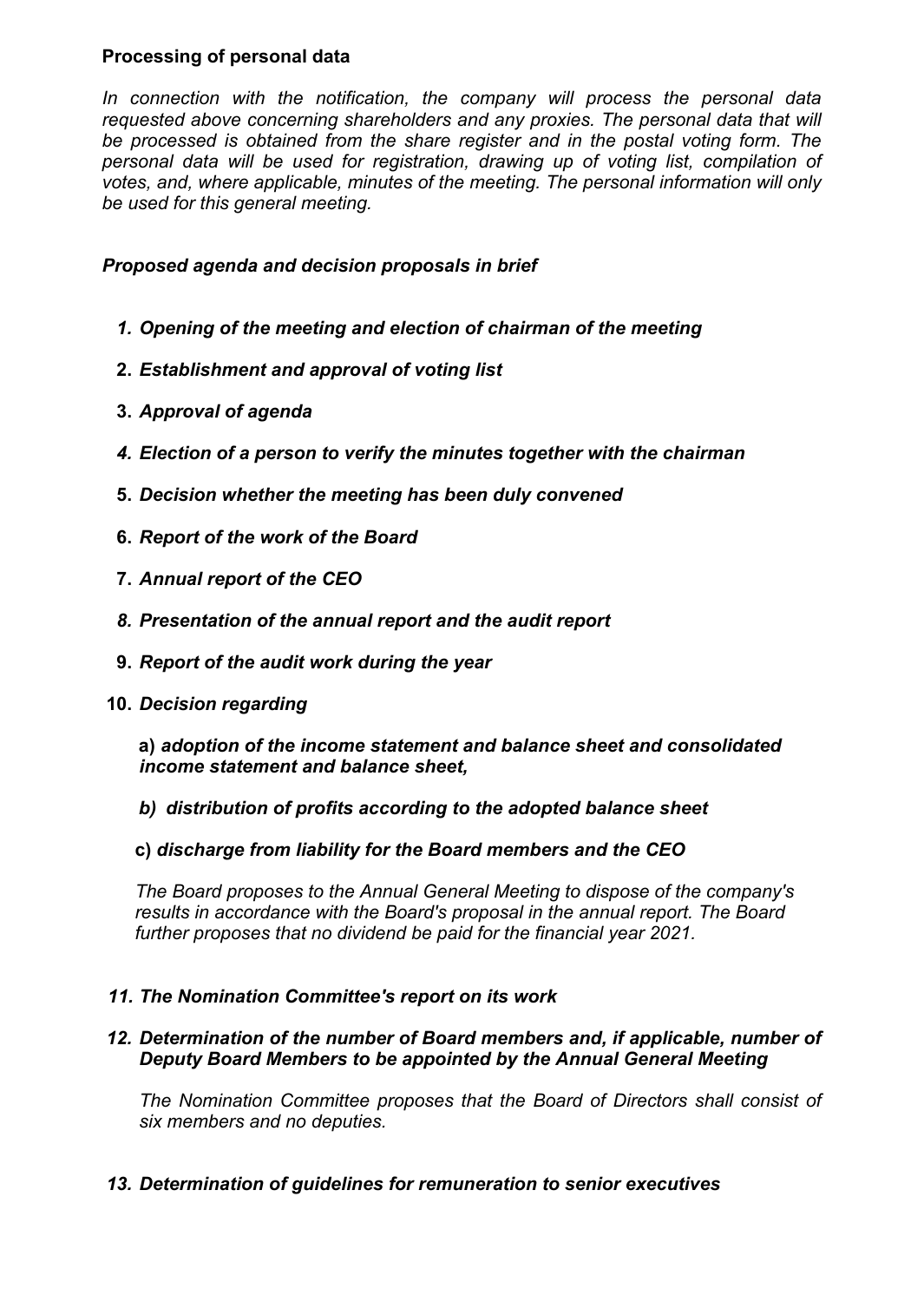# **Processing of personal data**

*In connection with the notification, the company will process the personal data requested above concerning shareholders and any proxies. The personal data that will be processed is obtained from the share register and in the postal voting form. The personal data will be used for registration, drawing up of voting list, compilation of votes, and, where applicable, minutes of the meeting. The personal information will only be used for this general meeting.*

## *Proposed agenda and decision proposals in brief*

- *1. Opening of the meeting and election of chairman of the meeting*
- **2.** *Establishment and approval of voting list*
- **3.** *Approval of agenda*
- *4. Election of a person to verify the minutes together with the chairman*
- **5.** *Decision whether the meeting has been duly convened*
- **6.** *Report of the work of the Board*
- **7.** *Annual report of the CEO*
- *8. Presentation of the annual report and the audit report*
- **9.** *Report of the audit work during the year*
- **10.** *Decision regarding*

**a)** *adoption of the income statement and balance sheet and consolidated income statement and balance sheet,*

*b) distribution of profits according to the adopted balance sheet*

**c)** *discharge from liability for the Board members and the CEO*

*The Board proposes to the Annual General Meeting to dispose of the company's results in accordance with the Board's proposal in the annual report. The Board further proposes that no dividend be paid for the financial year 2021.*

## *11. The Nomination Committee's report on its work*

## *12. Determination of the number of Board members and, if applicable, number of Deputy Board Members to be appointed by the Annual General Meeting*

*The Nomination Committee proposes that the Board of Directors shall consist of six members and no deputies.*

## *13. Determination of guidelines for remuneration to senior executives*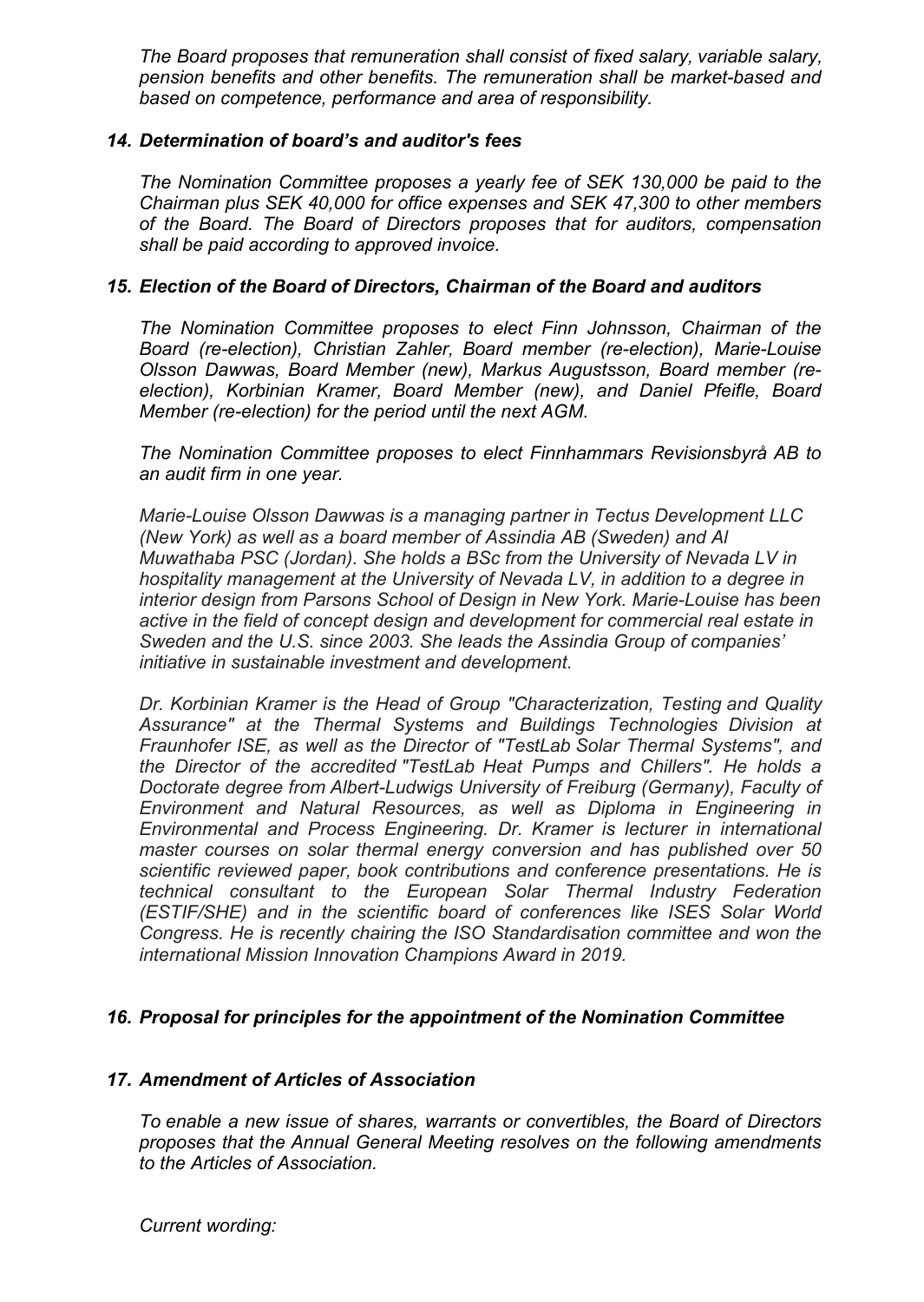*The Board proposes that remuneration shall consist of fixed salary, variable salary, pension benefits and other benefits. The remuneration shall be market-based and based on competence, performance and area of responsibility.*

#### *14. Determination of board's and auditor's fees*

*The Nomination Committee proposes a yearly fee of SEK 130,000 be paid to the Chairman plus SEK 40,000 for office expenses and SEK 47,300 to other members of the Board. The Board of Directors proposes that for auditors, compensation shall be paid according to approved invoice.*

#### *15. Election of the Board of Directors, Chairman of the Board and auditors*

*The Nomination Committee proposes to elect Finn Johnsson, Chairman of the Board (re-election), Christian Zahler, Board member (re-election), Marie-Louise Olsson Dawwas, Board Member (new), Markus Augustsson, Board member (reelection), Korbinian Kramer, Board Member (new), and Daniel Pfeifle, Board Member (re-election) for the period until the next AGM.*

*The Nomination Committee proposes to elect Finnhammars Revisionsbyrå AB to an audit firm in one year.*

*Marie-Louise Olsson Dawwas is a managing partner in Tectus Development LLC (New York) as well as a board member of Assindia AB (Sweden) and Al Muwathaba PSC (Jordan). She holds a BSc from the University of Nevada LV in hospitality management at the University of Nevada LV, in addition to a degree in interior design from Parsons School of Design in New York. Marie-Louise has been active in the field of concept design and development for commercial real estate in Sweden and the U.S. since 2003. She leads the Assindia Group of companies' initiative in sustainable investment and development.*

*Dr. Korbinian Kramer is the Head of Group "Characterization, Testing and Quality Assurance" at the Thermal Systems and Buildings Technologies Division at Fraunhofer ISE, as well as the Director of "TestLab Solar Thermal Systems", and the Director of the accredited "TestLab Heat Pumps and Chillers". He holds a Doctorate degree from Albert-Ludwigs University of Freiburg (Germany), Faculty of Environment and Natural Resources, as well as Diploma in Engineering in Environmental and Process Engineering. Dr. Kramer is lecturer in international master courses on solar thermal energy conversion and has published over 50 scientific reviewed paper, book contributions and conference presentations. He is technical consultant to the European Solar Thermal Industry Federation (ESTIF/SHE) and in the scientific board of conferences like ISES Solar World Congress. He is recently chairing the ISO Standardisation committee and won the international Mission Innovation Champions Award in 2019.*

## *16. Proposal for principles for the appointment of the Nomination Committee*

#### *17. Amendment of Articles of Association*

*To enable a new issue of shares, warrants or convertibles, the Board of Directors proposes that the Annual General Meeting resolves on the following amendments to the Articles of Association.*

*Current wording:*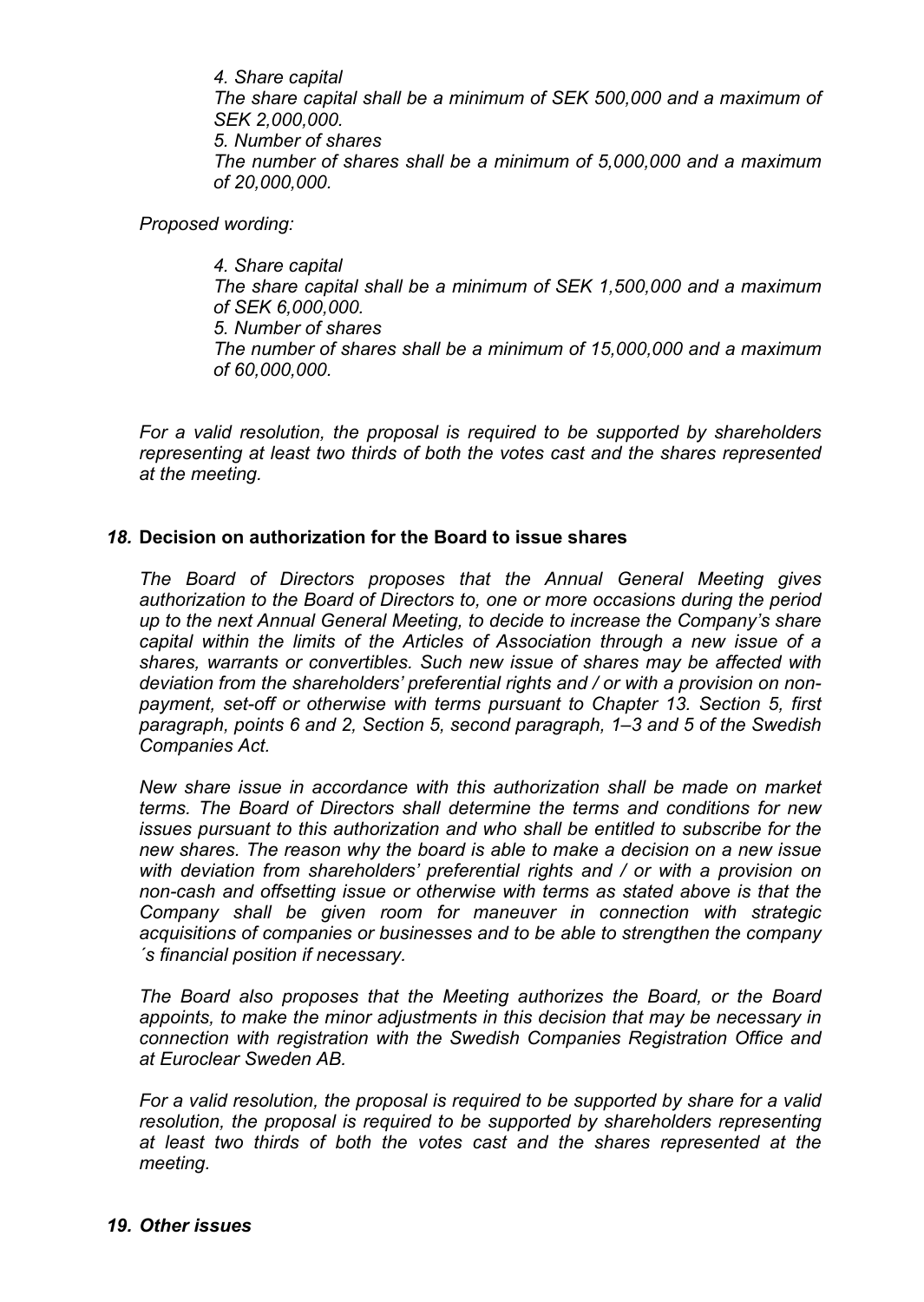*4. Share capital The share capital shall be a minimum of SEK 500,000 and a maximum of SEK 2,000,000. 5. Number of shares The number of shares shall be a minimum of 5,000,000 and a maximum of 20,000,000.*

*Proposed wording:*

*4. Share capital The share capital shall be a minimum of SEK 1,500,000 and a maximum of SEK 6,000,000. 5. Number of shares The number of shares shall be a minimum of 15,000,000 and a maximum of 60,000,000.*

*For a valid resolution, the proposal is required to be supported by shareholders representing at least two thirds of both the votes cast and the shares represented at the meeting.*

## *18.* **Decision on authorization for the Board to issue shares**

*The Board of Directors proposes that the Annual General Meeting gives authorization to the Board of Directors to, one or more occasions during the period up to the next Annual General Meeting, to decide to increase the Company's share capital within the limits of the Articles of Association through a new issue of a shares, warrants or convertibles. Such new issue of shares may be affected with deviation from the shareholders' preferential rights and / or with a provision on nonpayment, set-off or otherwise with terms pursuant to Chapter 13. Section 5, first paragraph, points 6 and 2, Section 5, second paragraph, 1–3 and 5 of the Swedish Companies Act.*

*New share issue in accordance with this authorization shall be made on market terms. The Board of Directors shall determine the terms and conditions for new issues pursuant to this authorization and who shall be entitled to subscribe for the new shares. The reason why the board is able to make a decision on a new issue with deviation from shareholders' preferential rights and / or with a provision on non-cash and offsetting issue or otherwise with terms as stated above is that the Company shall be given room for maneuver in connection with strategic acquisitions of companies or businesses and to be able to strengthen the company ´s financial position if necessary.*

*The Board also proposes that the Meeting authorizes the Board, or the Board appoints, to make the minor adjustments in this decision that may be necessary in connection with registration with the Swedish Companies Registration Office and at Euroclear Sweden AB.*

*For a valid resolution, the proposal is required to be supported by share for a valid resolution, the proposal is required to be supported by shareholders representing at least two thirds of both the votes cast and the shares represented at the meeting.*